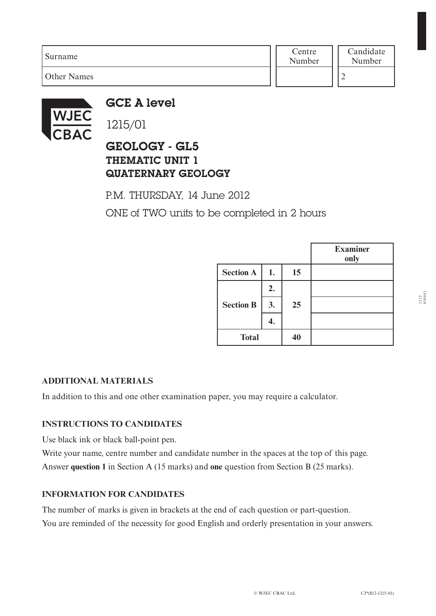Surname

Centre Number

2

Other Names



GCE A level

1215/01

# GEOLOGY - GL5 THEMATIC UNIT 1 QUATERNARY GEOLOGY

P.M. THURSDAY, 14 June 2012

ONE of TWO units to be completed in 2 hours

|                  |    |    | <b>Examiner</b><br>only |
|------------------|----|----|-------------------------|
| <b>Section A</b> | 1. | 15 |                         |
| <b>Section B</b> | 2. | 25 |                         |
|                  | 3. |    |                         |
|                  | 4. |    |                         |
| <b>Total</b>     |    | 40 |                         |

# **ADDITIONAL MATERIALS**

In addition to this and one other examination paper, you may require a calculator.

# **INSTRUCTIONS TO CANDIDATES**

Use black ink or black ball-point pen.

Write your name, centre number and candidate number in the spaces at the top of this page. Answer **question 1** in Section A (15 marks) and **one** question from Section B (25 marks).

# **INFORMATION FOR CANDIDATES**

The number of marks is given in brackets at the end of each question or part-question. You are reminded of the necessity for good English and orderly presentation in your answers.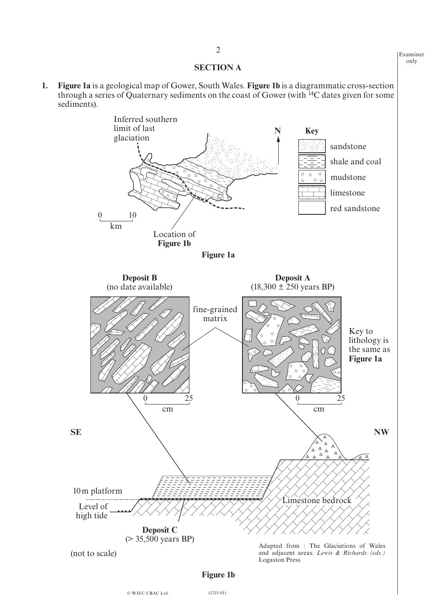2 **Examiner** only

### **SECTION A**

**1. Figure 1a** is a geological map of Gower, South Wales. **Figure 1b** is a diagrammatic cross-section through a series of Quaternary sediments on the coast of Gower (with 14C dates given for some sediments).



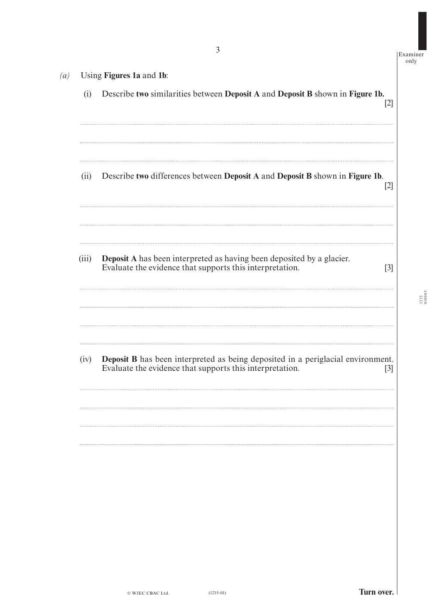|       | 3                                                                                                                                                         | Examiner<br>only |
|-------|-----------------------------------------------------------------------------------------------------------------------------------------------------------|------------------|
| (i)   | Using Figures 1a and 1b:<br>Describe two similarities between Deposit A and Deposit B shown in Figure 1b.<br>$[2]$                                        |                  |
| (ii)  | Describe two differences between Deposit A and Deposit B shown in Figure 1b.<br>$[2]$                                                                     |                  |
| (iii) | <b>Deposit A</b> has been interpreted as having been deposited by a glacier.<br>Evaluate the evidence that supports this interpretation.<br>$[3]$         |                  |
| (iv)  | <b>Deposit B</b> has been interpreted as being deposited in a periglacial environment.<br>Evaluate the evidence that supports this interpretation.<br>[3] |                  |
|       |                                                                                                                                                           |                  |

 $(a)$ 

(1215-01) **Turn over.**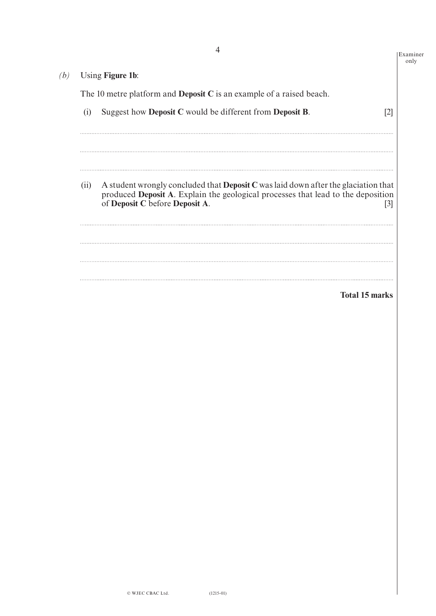4 Examiner only *(b)* Using **Figure 1b**: The 10 metre platform and **Deposit C** is an example of a raised beach. (i) Suggest how **Deposit C** would be different from **Deposit B**. [2] (ii) A student wrongly concluded that **Deposit C** was laid down after the glaciation that produced **Deposit A**. Explain the geological processes that lead to the deposition of **Deposit C** before **Deposit A**. [3] **Total 15 marks**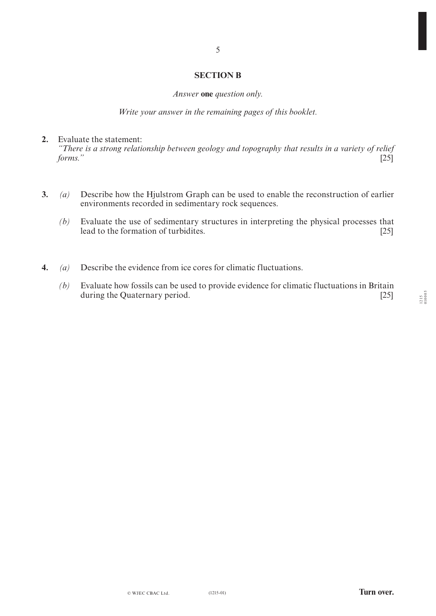#### **SECTION B**

5

#### *Answer* **one** *question only.*

#### *Write your answer in the remaining pages of this booklet.*

#### **2.** Evaluate the statement:

*"There is a strong relationship between geology and topography that results in a variety of relief forms."* [25]

- **3.** *(a)* Describe how the Hjulstrom Graph can be used to enable the reconstruction of earlier environments recorded in sedimentary rock sequences.
	- *(b)* Evaluate the use of sedimentary structures in interpreting the physical processes that lead to the formation of turbidites. [25] lead to the formation of turbidities.
- **4.** *(a)* Describe the evidence from ice cores for climatic fluctuations.
	- *(b)* Evaluate how fossils can be used to provide evidence for climatic fluctuations in Britain during the Quaternary period.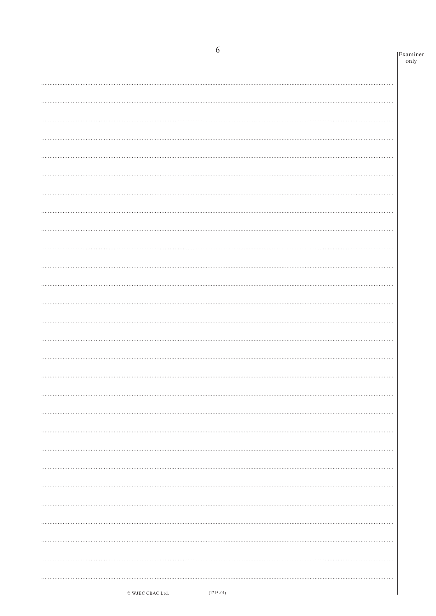| Examiner |
|----------|
| only     |
|          |

|                        |             | . |
|------------------------|-------------|---|
|                        |             |   |
|                        |             |   |
|                        |             |   |
|                        |             |   |
|                        |             |   |
|                        |             | . |
|                        |             | . |
|                        |             | . |
|                        |             | . |
|                        |             |   |
|                        |             |   |
|                        |             |   |
| $\odot$ WJEC CBAC Ltd. | $(1215-01)$ |   |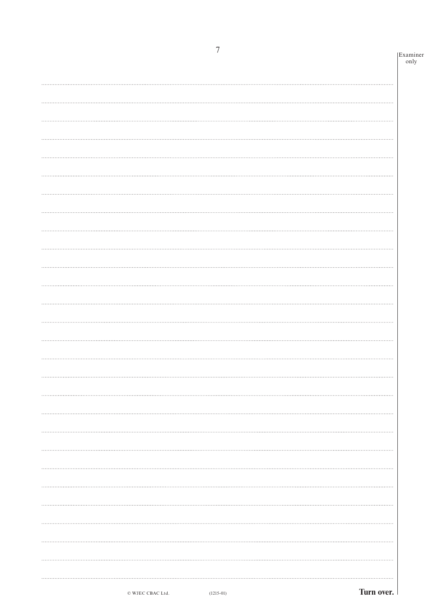| Examiner |
|----------|
| only     |

7

|                  |             | .          |
|------------------|-------------|------------|
|                  |             |            |
|                  |             |            |
|                  |             |            |
|                  |             |            |
|                  |             |            |
| © WJEC CBAC Ltd. | $(1215-01)$ | Turn over. |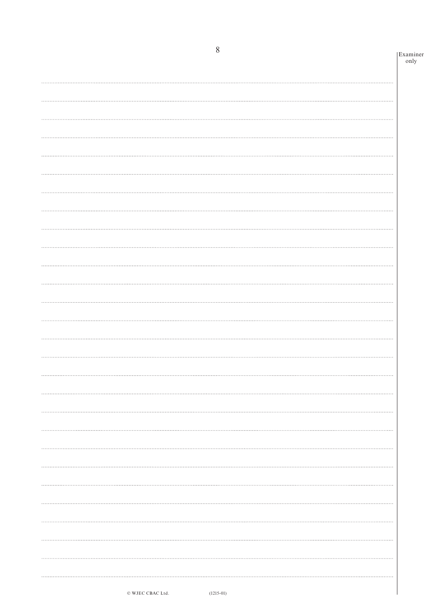#### 8 Examiner Examiner<br>only

| .                                     |
|---------------------------------------|
|                                       |
|                                       |
|                                       |
|                                       |
|                                       |
|                                       |
|                                       |
|                                       |
|                                       |
|                                       |
|                                       |
| $\odot$ WJEC CBAC Ltd.<br>$(1215-01)$ |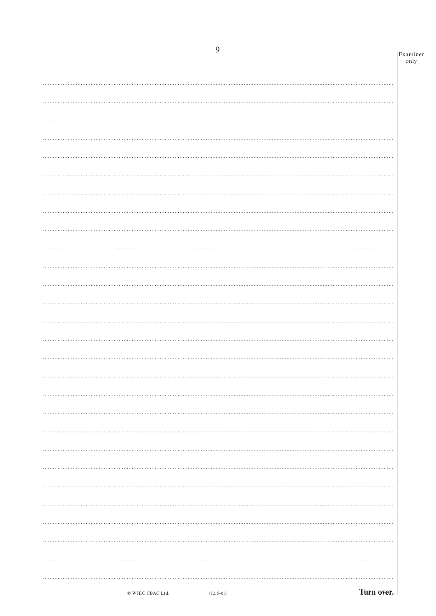| Examiner |
|----------|
| only     |
|          |

|                        |             | .          |
|------------------------|-------------|------------|
| $\odot$ WJEC CBAC Ltd. | $(1215-01)$ | Turn over. |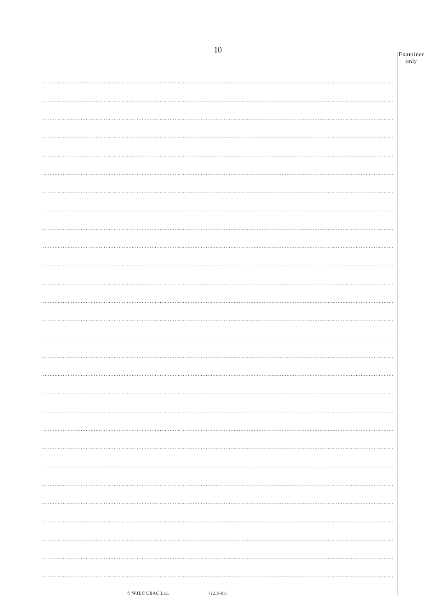#### 10 Examiner Examiner<br>only

|                        |             | . |
|------------------------|-------------|---|
|                        |             |   |
|                        |             |   |
|                        |             |   |
|                        |             |   |
|                        |             |   |
|                        |             |   |
|                        |             |   |
|                        |             |   |
|                        |             |   |
|                        |             |   |
|                        |             |   |
|                        |             |   |
|                        |             |   |
|                        |             |   |
|                        |             |   |
|                        |             |   |
|                        |             |   |
|                        |             |   |
| $\odot$ WJEC CBAC Ltd. | $(1215-01)$ |   |